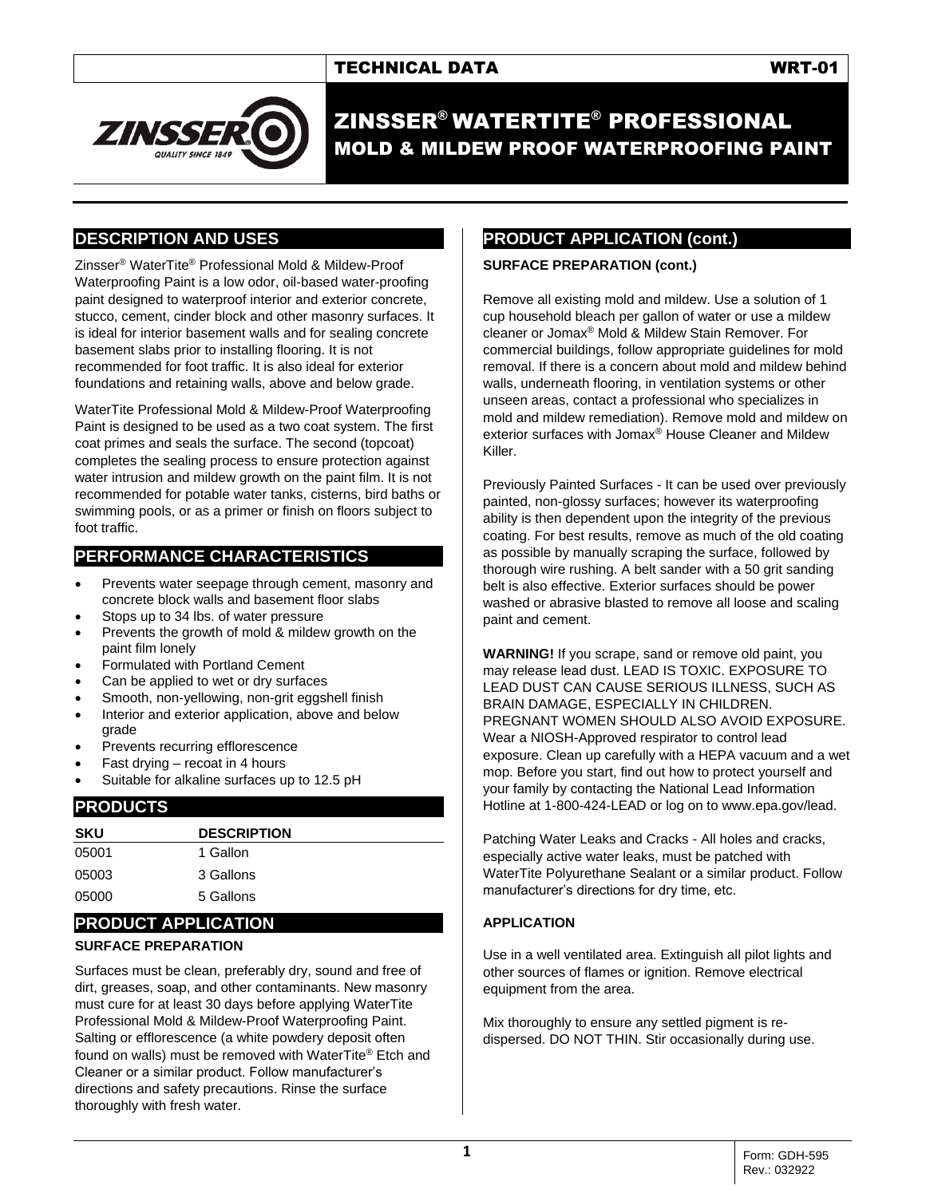

ZINSSER® WATERTITE® PROFESSIONAL MOLD & MILDEW PROOF WATERPROOFING PAINT

# **DESCRIPTION AND USES**

Zinsser® WaterTite® Professional Mold & Mildew-Proof Waterproofing Paint is a low odor, oil-based water-proofing paint designed to waterproof interior and exterior concrete, stucco, cement, cinder block and other masonry surfaces. It is ideal for interior basement walls and for sealing concrete basement slabs prior to installing flooring. It is not recommended for foot traffic. It is also ideal for exterior foundations and retaining walls, above and below grade.

WaterTite Professional Mold & Mildew-Proof Waterproofing Paint is designed to be used as a two coat system. The first coat primes and seals the surface. The second (topcoat) completes the sealing process to ensure protection against water intrusion and mildew growth on the paint film. It is not recommended for potable water tanks, cisterns, bird baths or swimming pools, or as a primer or finish on floors subject to foot traffic.

# **PERFORMANCE CHARACTERISTICS**

- Prevents water seepage through cement, masonry and concrete block walls and basement floor slabs
- Stops up to 34 lbs. of water pressure
- Prevents the growth of mold & mildew growth on the paint film lonely
- Formulated with Portland Cement
- Can be applied to wet or dry surfaces
- Smooth, non-yellowing, non-grit eggshell finish
- Interior and exterior application, above and below grade
- Prevents recurring efflorescence
- Fast drying recoat in 4 hours
- Suitable for alkaline surfaces up to 12.5 pH

# **PRODUCTS**

| <b>SKU</b> | <b>DESCRIPTION</b> |
|------------|--------------------|
| 05001      | 1 Gallon           |
| 05003      | 3 Gallons          |
| 05000      | 5 Gallons          |

### **PRODUCT APPLICATION**

### **SURFACE PREPARATION**

Surfaces must be clean, preferably dry, sound and free of dirt, greases, soap, and other contaminants. New masonry must cure for at least 30 days before applying WaterTite Professional Mold & Mildew-Proof Waterproofing Paint. Salting or efflorescence (a white powdery deposit often found on walls) must be removed with WaterTite® Etch and Cleaner or a similar product. Follow manufacturer's directions and safety precautions. Rinse the surface thoroughly with fresh water.

## **PRODUCT APPLICATION (cont.)**

#### **SURFACE PREPARATION (cont.)**

Remove all existing mold and mildew. Use a solution of 1 cup household bleach per gallon of water or use a mildew cleaner or Jomax® Mold & Mildew Stain Remover. For commercial buildings, follow appropriate guidelines for mold removal. If there is a concern about mold and mildew behind walls, underneath flooring, in ventilation systems or other unseen areas, contact a professional who specializes in mold and mildew remediation). Remove mold and mildew on exterior surfaces with Jomax® House Cleaner and Mildew Killer.

Previously Painted Surfaces - It can be used over previously painted, non-glossy surfaces; however its waterproofing ability is then dependent upon the integrity of the previous coating. For best results, remove as much of the old coating as possible by manually scraping the surface, followed by thorough wire rushing. A belt sander with a 50 grit sanding belt is also effective. Exterior surfaces should be power washed or abrasive blasted to remove all loose and scaling paint and cement.

**WARNING!** If you scrape, sand or remove old paint, you may release lead dust. LEAD IS TOXIC. EXPOSURE TO LEAD DUST CAN CAUSE SERIOUS ILLNESS, SUCH AS BRAIN DAMAGE, ESPECIALLY IN CHILDREN. PREGNANT WOMEN SHOULD ALSO AVOID EXPOSURE. Wear a NIOSH-Approved respirator to control lead exposure. Clean up carefully with a HEPA vacuum and a wet mop. Before you start, find out how to protect yourself and your family by contacting the National Lead Information Hotline at 1-800-424-LEAD or log on to www.epa.gov/lead.

Patching Water Leaks and Cracks - All holes and cracks, especially active water leaks, must be patched with WaterTite Polyurethane Sealant or a similar product. Follow manufacturer's directions for dry time, etc.

### **APPLICATION**

Use in a well ventilated area. Extinguish all pilot lights and other sources of flames or ignition. Remove electrical equipment from the area.

Mix thoroughly to ensure any settled pigment is redispersed. DO NOT THIN. Stir occasionally during use.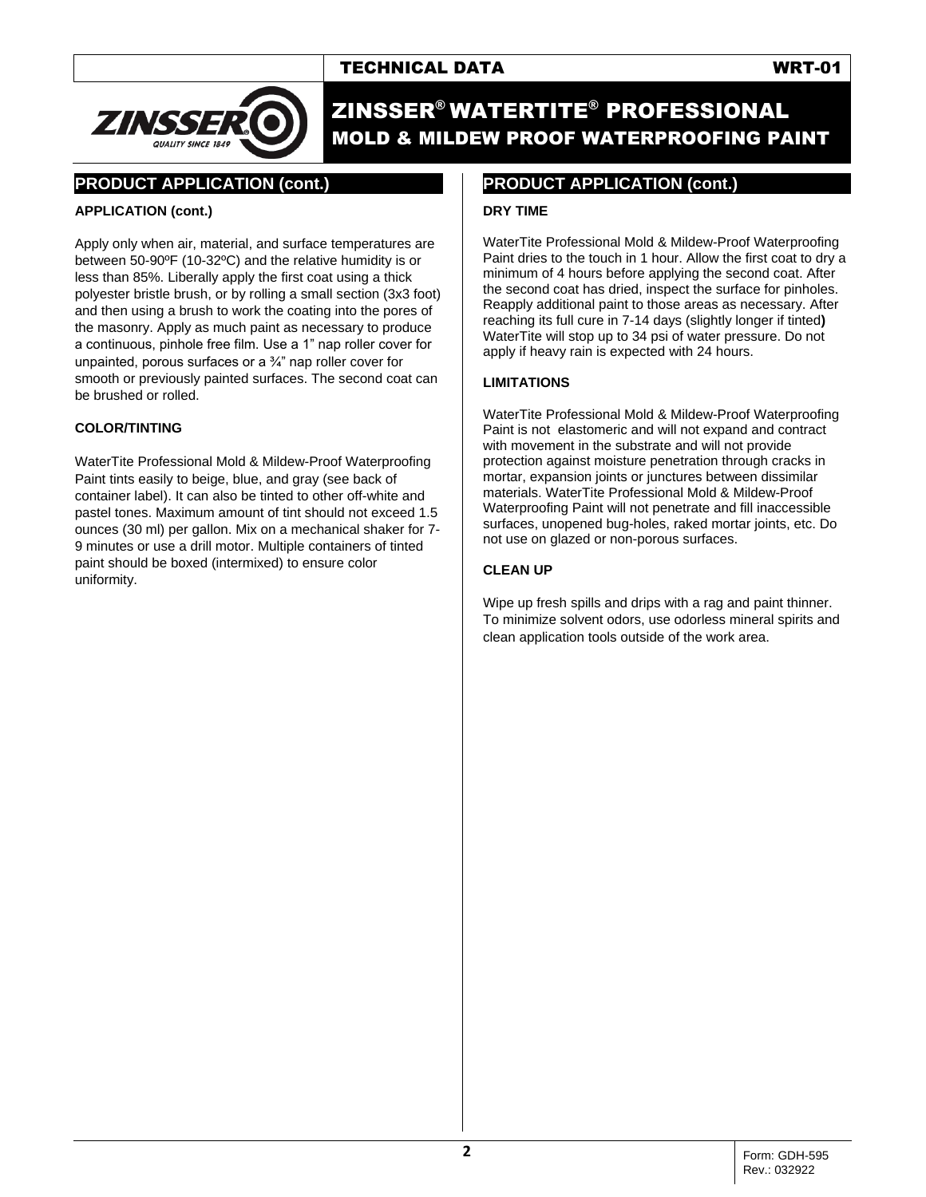

# ZINSSER® WATERTITE® PROFESSIONAL MOLD & MILDEW PROOF WATERPROOFING PAINT

# **PRODUCT APPLICATION (cont.)**

### **APPLICATION (cont.)**

Apply only when air, material, and surface temperatures are between 50-90ºF (10-32ºC) and the relative humidity is or less than 85%. Liberally apply the first coat using a thick polyester bristle brush, or by rolling a small section (3x3 foot) and then using a brush to work the coating into the pores of the masonry. Apply as much paint as necessary to produce a continuous, pinhole free film. Use a 1" nap roller cover for unpainted, porous surfaces or a ¾" nap roller cover for smooth or previously painted surfaces. The second coat can be brushed or rolled.

### **COLOR/TINTING**

WaterTite Professional Mold & Mildew-Proof Waterproofing Paint tints easily to beige, blue, and gray (see back of container label). It can also be tinted to other off-white and pastel tones. Maximum amount of tint should not exceed 1.5 ounces (30 ml) per gallon. Mix on a mechanical shaker for 7- 9 minutes or use a drill motor. Multiple containers of tinted paint should be boxed (intermixed) to ensure color uniformity.

### **PRODUCT APPLICATION (cont.)**

### **DRY TIME**

WaterTite Professional Mold & Mildew-Proof Waterproofing Paint dries to the touch in 1 hour. Allow the first coat to dry a minimum of 4 hours before applying the second coat. After the second coat has dried, inspect the surface for pinholes. Reapply additional paint to those areas as necessary. After reaching its full cure in 7-14 days (slightly longer if tinted**)**  WaterTite will stop up to 34 psi of water pressure. Do not apply if heavy rain is expected with 24 hours.

### **LIMITATIONS**

WaterTite Professional Mold & Mildew-Proof Waterproofing Paint is not elastomeric and will not expand and contract with movement in the substrate and will not provide protection against moisture penetration through cracks in mortar, expansion joints or junctures between dissimilar materials. WaterTite Professional Mold & Mildew-Proof Waterproofing Paint will not penetrate and fill inaccessible surfaces, unopened bug-holes, raked mortar joints, etc. Do not use on glazed or non-porous surfaces.

### **CLEAN UP**

Wipe up fresh spills and drips with a rag and paint thinner. To minimize solvent odors, use odorless mineral spirits and clean application tools outside of the work area.